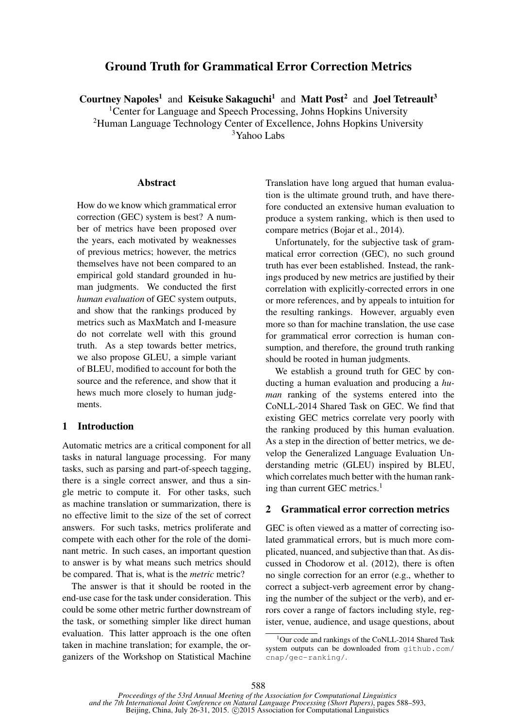# Ground Truth for Grammatical Error Correction Metrics

Courtney Napoles<sup>1</sup> and Keisuke Sakaguchi<sup>1</sup> and Matt Post<sup>2</sup> and Joel Tetreault<sup>3</sup>

<sup>1</sup> Center for Language and Speech Processing, Johns Hopkins University

<sup>2</sup>Human Language Technology Center of Excellence, Johns Hopkins University

<sup>3</sup>Yahoo Labs

#### **Abstract**

How do we know which grammatical error correction (GEC) system is best? A number of metrics have been proposed over the years, each motivated by weaknesses of previous metrics; however, the metrics themselves have not been compared to an empirical gold standard grounded in human judgments. We conducted the first *human evaluation* of GEC system outputs, and show that the rankings produced by metrics such as MaxMatch and I-measure do not correlate well with this ground truth. As a step towards better metrics, we also propose GLEU, a simple variant of BLEU, modified to account for both the source and the reference, and show that it hews much more closely to human judgments.

## 1 Introduction

Automatic metrics are a critical component for all tasks in natural language processing. For many tasks, such as parsing and part-of-speech tagging, there is a single correct answer, and thus a single metric to compute it. For other tasks, such as machine translation or summarization, there is no effective limit to the size of the set of correct answers. For such tasks, metrics proliferate and compete with each other for the role of the dominant metric. In such cases, an important question to answer is by what means such metrics should be compared. That is, what is the *metric* metric?

The answer is that it should be rooted in the end-use case for the task under consideration. This could be some other metric further downstream of the task, or something simpler like direct human evaluation. This latter approach is the one often taken in machine translation; for example, the organizers of the Workshop on Statistical Machine Translation have long argued that human evaluation is the ultimate ground truth, and have therefore conducted an extensive human evaluation to produce a system ranking, which is then used to compare metrics (Bojar et al., 2014).

Unfortunately, for the subjective task of grammatical error correction (GEC), no such ground truth has ever been established. Instead, the rankings produced by new metrics are justified by their correlation with explicitly-corrected errors in one or more references, and by appeals to intuition for the resulting rankings. However, arguably even more so than for machine translation, the use case for grammatical error correction is human consumption, and therefore, the ground truth ranking should be rooted in human judgments.

We establish a ground truth for GEC by conducting a human evaluation and producing a *human* ranking of the systems entered into the CoNLL-2014 Shared Task on GEC. We find that existing GEC metrics correlate very poorly with the ranking produced by this human evaluation. As a step in the direction of better metrics, we develop the Generalized Language Evaluation Understanding metric (GLEU) inspired by BLEU, which correlates much better with the human ranking than current GEC metrics.<sup>1</sup>

#### 2 Grammatical error correction metrics

GEC is often viewed as a matter of correcting isolated grammatical errors, but is much more complicated, nuanced, and subjective than that. As discussed in Chodorow et al. (2012), there is often no single correction for an error (e.g., whether to correct a subject-verb agreement error by changing the number of the subject or the verb), and errors cover a range of factors including style, register, venue, audience, and usage questions, about

 $1$ Our code and rankings of the CoNLL-2014 Shared Task system outputs can be downloaded from github.com/ cnap/gec-ranking/.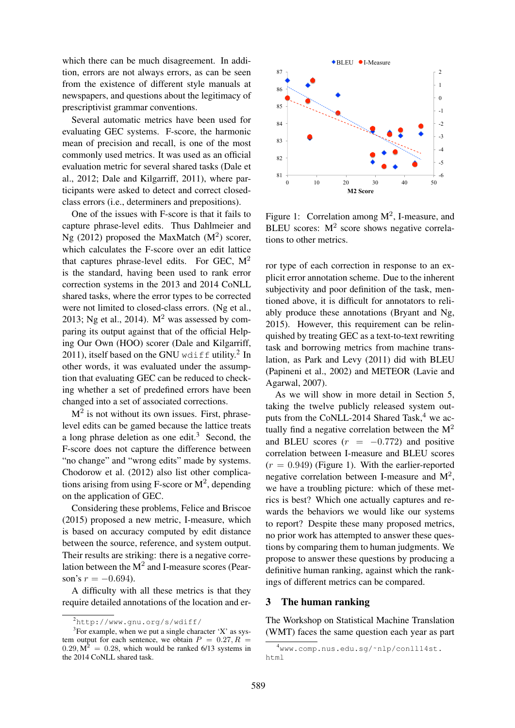which there can be much disagreement. In addition, errors are not always errors, as can be seen from the existence of different style manuals at newspapers, and questions about the legitimacy of prescriptivist grammar conventions.

Several automatic metrics have been used for evaluating GEC systems. F-score, the harmonic mean of precision and recall, is one of the most commonly used metrics. It was used as an official evaluation metric for several shared tasks (Dale et al., 2012; Dale and Kilgarriff, 2011), where participants were asked to detect and correct closedclass errors (i.e., determiners and prepositions).

One of the issues with F-score is that it fails to capture phrase-level edits. Thus Dahlmeier and Ng (2012) proposed the MaxMatch  $(M<sup>2</sup>)$  scorer, which calculates the F-score over an edit lattice that captures phrase-level edits. For GEC,  $M<sup>2</sup>$ is the standard, having been used to rank error correction systems in the 2013 and 2014 CoNLL shared tasks, where the error types to be corrected were not limited to closed-class errors. (Ng et al., 2013; Ng et al., 2014).  $M<sup>2</sup>$  was assessed by comparing its output against that of the official Helping Our Own (HOO) scorer (Dale and Kilgarriff, 2011), itself based on the GNU wdiff utility.<sup>2</sup> In other words, it was evaluated under the assumption that evaluating GEC can be reduced to checking whether a set of predefined errors have been changed into a set of associated corrections. at, 2012; Dake on Klugarrith, 2011), where pure is the same of the same of the same of the same of the same of the same of the same of the same of the same of the same of the same of the same of the same of the same of th

 $M<sup>2</sup>$  is not without its own issues. First, phraselevel edits can be gamed because the lattice treats a long phrase deletion as one edit.<sup>3</sup> Second, the F-score does not capture the difference between "no change" and "wrong edits" made by systems. Chodorow et al. (2012) also list other complications arising from using F-score or  $M^2$ , depending on the application of GEC.

Considering these problems, Felice and Briscoe (2015) proposed a new metric, I-measure, which is based on accuracy computed by edit distance between the source, reference, and system output. Their results are striking: there is a negative correlation between the  $M^2$  and I-measure scores (Pearson's  $r = -0.694$ ).

A difficulty with all these metrics is that they require detailed annotations of the location and er-



Figure 1: Correlation among  $M^2$ , I-measure, and BLEU scores:  $M^2$  score shows negative correlations to other metrics.

ror type of each correction in response to an explicit error annotation scheme. Due to the inherent subjectivity and poor definition of the task, mentioned above, it is difficult for annotators to reliably produce these annotations (Bryant and Ng, 2015). However, this requirement can be relinquished by treating GEC as a text-to-text rewriting task and borrowing metrics from machine translation, as Park and Levy (2011) did with BLEU (Papineni et al., 2002) and METEOR (Lavie and Agarwal, 2007).

As we will show in more detail in Section 5, taking the twelve publicly released system outputs from the CoNLL-2014 Shared Task, $4$  we actually find a negative correlation between the  $M<sup>2</sup>$ and BLEU scores  $(r = -0.772)$  and positive correlation between I-measure and BLEU scores  $(r = 0.949)$  (Figure 1). With the earlier-reported negative correlation between I-measure and  $M^2$ , we have a troubling picture: which of these metrics is best? Which one actually captures and rewards the behaviors we would like our systems to report? Despite these many proposed metrics, no prior work has attempted to answer these questions by comparing them to human judgments. We propose to answer these questions by producing a definitive human ranking, against which the rankings of different metrics can be compared.

## 3 The human ranking

The Workshop on Statistical Machine Translation (WMT) faces the same question each year as part

<sup>2</sup>http://www.gnu.org/s/wdiff/

 $3$ For example, when we put a single character 'X' as system output for each sentence, we obtain  $P = 0.27, R =$  $0.29$ ,  $M^2 = 0.28$ , which would be ranked 6/13 systems in the 2014 CoNLL shared task.

<sup>4</sup>www.comp.nus.edu.sg/˜nlp/conll14st. html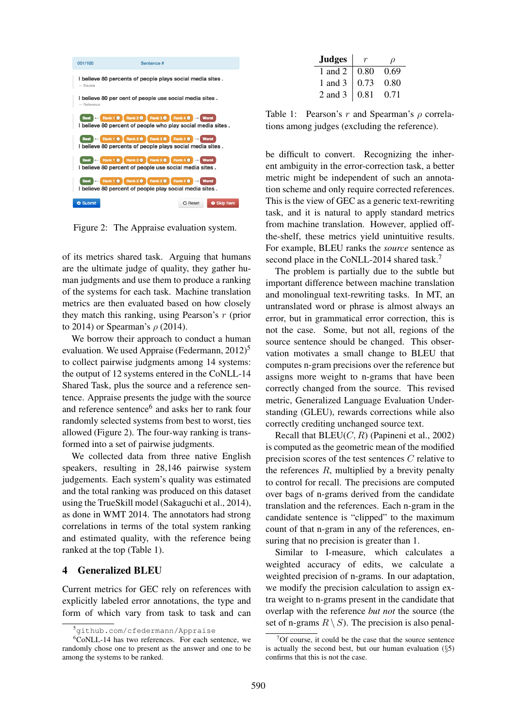

Figure 2: The Appraise evaluation system.

of its metrics shared task. Arguing that humans are the ultimate judge of quality, they gather human judgments and use them to produce a ranking of the systems for each task. Machine translation metrics are then evaluated based on how closely they match this ranking, using Pearson's r (prior to 2014) or Spearman's  $\rho$  (2014).

We borrow their approach to conduct a human evaluation. We used Appraise (Federmann,  $2012$ )<sup>5</sup> to collect pairwise judgments among 14 systems: the output of 12 systems entered in the CoNLL-14 Shared Task, plus the source and a reference sentence. Appraise presents the judge with the source and reference sentence<sup>6</sup> and asks her to rank four randomly selected systems from best to worst, ties allowed (Figure 2). The four-way ranking is transformed into a set of pairwise judgments.

We collected data from three native English speakers, resulting in 28,146 pairwise system judgements. Each system's quality was estimated and the total ranking was produced on this dataset using the TrueSkill model (Sakaguchi et al., 2014), as done in WMT 2014. The annotators had strong correlations in terms of the total system ranking and estimated quality, with the reference being ranked at the top (Table 1).

## 4 Generalized BLEU

Current metrics for GEC rely on references with explicitly labeled error annotations, the type and form of which vary from task to task and can

| Judges      |      | $\omega$ |
|-------------|------|----------|
| 1 and 2     | 0.80 | 0.69     |
| 1 and $3$   | 0.73 | 0.80     |
| $2$ and $3$ | 0.81 | 0.71     |

Table 1: Pearson's r and Spearman's  $\rho$  correlations among judges (excluding the reference).

be difficult to convert. Recognizing the inherent ambiguity in the error-correction task, a better metric might be independent of such an annotation scheme and only require corrected references. This is the view of GEC as a generic text-rewriting task, and it is natural to apply standard metrics from machine translation. However, applied offthe-shelf, these metrics yield unintuitive results. For example, BLEU ranks the *source* sentence as second place in the CoNLL-2014 shared task.<sup>7</sup>

The problem is partially due to the subtle but important difference between machine translation and monolingual text-rewriting tasks. In MT, an untranslated word or phrase is almost always an error, but in grammatical error correction, this is not the case. Some, but not all, regions of the source sentence should be changed. This observation motivates a small change to BLEU that computes n-gram precisions over the reference but assigns more weight to n-grams that have been correctly changed from the source. This revised metric, Generalized Language Evaluation Understanding (GLEU), rewards corrections while also correctly crediting unchanged source text.

Recall that  $BLEU(C, R)$  (Papineni et al., 2002) is computed as the geometric mean of the modified precision scores of the test sentences C relative to the references  $R$ , multiplied by a brevity penalty to control for recall. The precisions are computed over bags of n-grams derived from the candidate translation and the references. Each n-gram in the candidate sentence is "clipped" to the maximum count of that n-gram in any of the references, ensuring that no precision is greater than 1.

Similar to I-measure, which calculates a weighted accuracy of edits, we calculate a weighted precision of n-grams. In our adaptation, we modify the precision calculation to assign extra weight to n-grams present in the candidate that overlap with the reference *but not* the source (the set of n-grams  $R \setminus S$ ). The precision is also penal-

<sup>5</sup>github.com/cfedermann/Appraise

 $6CoNLL-14$  has two references. For each sentence, we randomly chose one to present as the answer and one to be among the systems to be ranked.

<sup>7</sup>Of course, it could be the case that the source sentence is actually the second best, but our human evaluation  $(\S 5)$ confirms that this is not the case.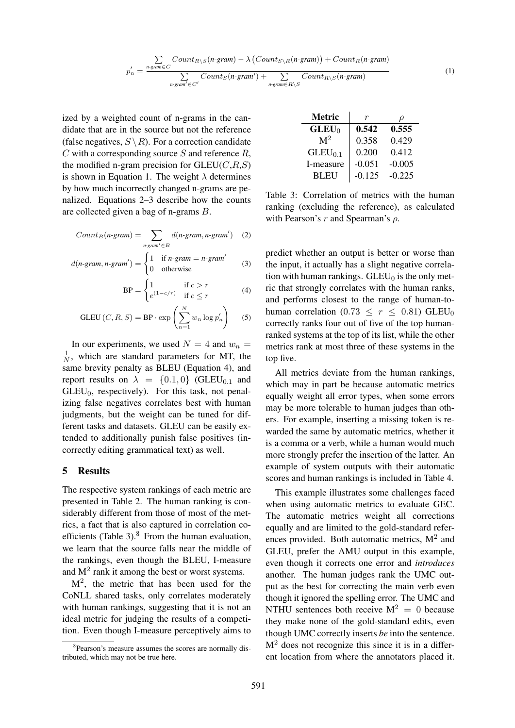$$
p'_{n} = \frac{\sum\limits_{n\text{-}gram \in C} Count_{R \setminus S}(n\text{-}gram) - \lambda (Count_{S \setminus R}(n\text{-}gram)) + Count_{R}(n\text{-}gram)}{\sum\limits_{n\text{-}gram' \in C'} Count_{S}(n\text{-}gram') + \sum\limits_{n\text{-}gram \in R \setminus S} Count_{R \setminus S}(n\text{-}gram)}
$$

ized by a weighted count of n-grams in the candidate that are in the source but not the reference (false negatives,  $S \setminus R$ ). For a correction candidate  $C$  with a corresponding source  $S$  and reference  $R$ , the modified n-gram precision for  $GLEU(C, R, S)$ is shown in Equation 1. The weight  $\lambda$  determines by how much incorrectly changed n-grams are penalized. Equations 2–3 describe how the counts are collected given a bag of n-grams B.

$$
Count_B(n\text{-}gram) = \sum_{n\text{-}gram' \in B} d(n\text{-}gram, n\text{-}gram') \quad (2)
$$

$$
d(n\text{-}gram, n\text{-}gram') = \begin{cases} 1 & \text{if } n\text{-}gram = n\text{-}gram' \\ 0 & \text{otherwise} \end{cases}
$$
 (3)

$$
BP = \begin{cases} 1 & \text{if } c > r \\ e^{(1-c/r)} & \text{if } c \leq r \end{cases}
$$
 (4)

$$
GLEU(C, R, S) = BP \cdot \exp\left(\sum_{n=1}^{N} w_n \log p'_n\right) \quad (5)
$$

In our experiments, we used  $N = 4$  and  $w_n =$ 1  $\frac{1}{N}$ , which are standard parameters for MT, the same brevity penalty as BLEU (Equation 4), and report results on  $\lambda = \{0.1, 0\}$  (GLEU<sub>0.1</sub> and  $GLEU_0$ , respectively). For this task, not penalizing false negatives correlates best with human judgments, but the weight can be tuned for different tasks and datasets. GLEU can be easily extended to additionally punish false positives (incorrectly editing grammatical text) as well.

#### 5 Results

The respective system rankings of each metric are presented in Table 2. The human ranking is considerably different from those of most of the metrics, a fact that is also captured in correlation coefficients (Table 3). $8$  From the human evaluation, we learn that the source falls near the middle of the rankings, even though the BLEU, I-measure and  $M<sup>2</sup>$  rank it among the best or worst systems.

 $M<sup>2</sup>$ , the metric that has been used for the CoNLL shared tasks, only correlates moderately with human rankings, suggesting that it is not an ideal metric for judging the results of a competition. Even though I-measure perceptively aims to

| <b>Metric</b>  | r        |          |
|----------------|----------|----------|
| $GLEU_0$       | 0.542    | 0.555    |
| $\mathbf{M}^2$ | 0.358    | 0.429    |
| $GLEU_{0.1}$   | 0.200    | 0.412    |
| I-measure      | $-0.051$ | $-0.005$ |
| <b>BLEU</b>    | $-0.125$ | $-0.225$ |

Table 3: Correlation of metrics with the human ranking (excluding the reference), as calculated with Pearson's  $r$  and Spearman's  $\rho$ .

predict whether an output is better or worse than the input, it actually has a slight negative correlation with human rankings.  $GLEU_0$  is the only metric that strongly correlates with the human ranks, and performs closest to the range of human-tohuman correlation (0.73  $\leq r \leq$  0.81) GLEU<sub>0</sub> correctly ranks four out of five of the top humanranked systems at the top of its list, while the other metrics rank at most three of these systems in the top five.

All metrics deviate from the human rankings, which may in part be because automatic metrics equally weight all error types, when some errors may be more tolerable to human judges than others. For example, inserting a missing token is rewarded the same by automatic metrics, whether it is a comma or a verb, while a human would much more strongly prefer the insertion of the latter. An example of system outputs with their automatic scores and human rankings is included in Table 4.

This example illustrates some challenges faced when using automatic metrics to evaluate GEC. The automatic metrics weight all corrections equally and are limited to the gold-standard references provided. Both automatic metrics,  $M^2$  and GLEU, prefer the AMU output in this example, even though it corrects one error and *introduces* another. The human judges rank the UMC output as the best for correcting the main verb even though it ignored the spelling error. The UMC and NTHU sentences both receive  $M^2 = 0$  because they make none of the gold-standard edits, even though UMC correctly inserts *be* into the sentence.  $M<sup>2</sup>$  does not recognize this since it is in a different location from where the annotators placed it.

<sup>&</sup>lt;sup>8</sup>Pearson's measure assumes the scores are normally distributed, which may not be true here.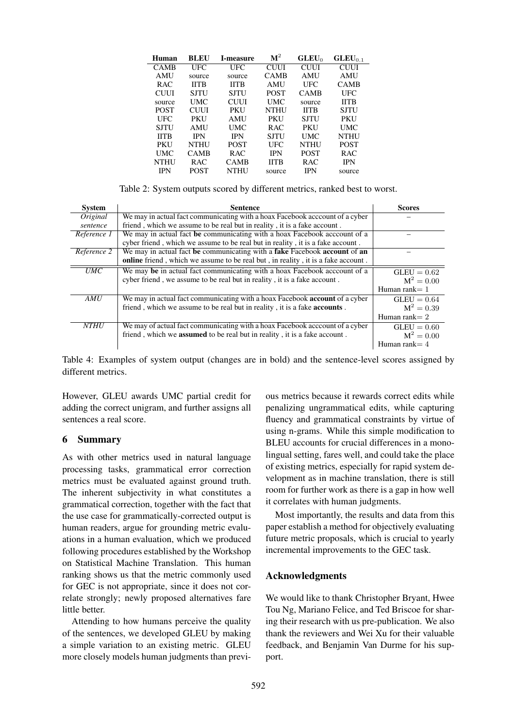| Human       | <b>BLEU</b> | <b>I-measure</b> | $\mathbf{M}^2$ | GLEU <sub>0</sub> | $GLEU_{0-1}$ |
|-------------|-------------|------------------|----------------|-------------------|--------------|
| CAMB        | UFC         | UFC              | <b>CUUL</b>    | <b>CUUL</b>       | CUUI         |
| AMU         | source      | source           | <b>CAMB</b>    | AMU               | <b>AMU</b>   |
| RAC.        | <b>IITB</b> | <b>IITR</b>      | <b>AMU</b>     | UFC               | <b>CAMB</b>  |
| <b>CUUI</b> | SJTU        | SJTU             | <b>POST</b>    | <b>CAMB</b>       | <b>UFC</b>   |
| source      | <b>UMC</b>  | <b>CUUL</b>      | UMC            | source            | <b>IITB</b>  |
| <b>POST</b> | <b>CUUL</b> | <b>PKU</b>       | <b>NTHU</b>    | <b>IITB</b>       | SJTU         |
| UFC         | <b>PKU</b>  | <b>AMU</b>       | PKU            | SJTU              | <b>PKU</b>   |
| SJTU        | <b>AMU</b>  | UMC              | R AC           | <b>PKU</b>        | <b>UMC</b>   |
| <b>IITB</b> | <b>IPN</b>  | <b>IPN</b>       | <b>SJTU</b>    | <b>UMC</b>        | <b>NTHU</b>  |
| <b>PKU</b>  | NTHU        | <b>POST</b>      | UFC            | <b>NTHU</b>       | <b>POST</b>  |
| UMC         | CAMB        | R AC             | <b>IPN</b>     | <b>POST</b>       | <b>RAC</b>   |
| <b>NTHU</b> | R AC        | <b>CAMB</b>      | <b>IITB</b>    | RAC.              | <b>IPN</b>   |
| IPN         | <b>POST</b> | <b>NTHU</b>      | source         | <b>IPN</b>        | source       |

Table 2: System outputs scored by different metrics, ranked best to worst.

| <b>System</b> | <b>Sentence</b>                                                                   | <b>Scores</b>    |
|---------------|-----------------------------------------------------------------------------------|------------------|
| Original      | We may in actual fact communicating with a hoax Facebook acccount of a cyber      |                  |
| sentence      | friend, which we assume to be real but in reality, it is a fake account.          |                  |
| Reference 1   | We may in actual fact be communicating with a hoax Facebook acccount of a         |                  |
|               | cyber friend, which we assume to be real but in reality, it is a fake account.    |                  |
| Reference 2   | We may in actual fact be communicating with a fake Facebook account of an         |                  |
|               | online friend, which we assume to be real but, in reality, it is a fake account.  |                  |
| <i>UMC</i>    | We may be in actual fact communicating with a hoax Facebook acccount of a         | $GLEU = 0.62$    |
|               | cyber friend, we assume to be real but in reality, it is a fake account.          | $M^2 = 0.00$     |
|               |                                                                                   | Human rank $= 1$ |
| AMU           | We may in actual fact communicating with a hoax Facebook account of a cyber       | $GLEU = 0.64$    |
|               | friend, which we assume to be real but in reality, it is a fake <b>accounts</b> . | $M^2 = 0.39$     |
|               |                                                                                   | Human rank $= 2$ |
| <b>NTHU</b>   | We may of actual fact communicating with a hoax Facebook acccount of a cyber      | $GLEU = 0.60$    |
|               | friend, which we <b>assumed</b> to be real but in reality, it is a fake account.  | $M^2 = 0.00$     |
|               |                                                                                   | Human rank $=$ 4 |

Table 4: Examples of system output (changes are in bold) and the sentence-level scores assigned by different metrics.

However, GLEU awards UMC partial credit for adding the correct unigram, and further assigns all sentences a real score.

# 6 Summary

As with other metrics used in natural language processing tasks, grammatical error correction metrics must be evaluated against ground truth. The inherent subjectivity in what constitutes a grammatical correction, together with the fact that the use case for grammatically-corrected output is human readers, argue for grounding metric evaluations in a human evaluation, which we produced following procedures established by the Workshop on Statistical Machine Translation. This human ranking shows us that the metric commonly used for GEC is not appropriate, since it does not correlate strongly; newly proposed alternatives fare little better.

Attending to how humans perceive the quality of the sentences, we developed GLEU by making a simple variation to an existing metric. GLEU more closely models human judgments than previ-

ous metrics because it rewards correct edits while penalizing ungrammatical edits, while capturing fluency and grammatical constraints by virtue of using n-grams. While this simple modification to BLEU accounts for crucial differences in a monolingual setting, fares well, and could take the place of existing metrics, especially for rapid system development as in machine translation, there is still room for further work as there is a gap in how well it correlates with human judgments.

Most importantly, the results and data from this paper establish a method for objectively evaluating future metric proposals, which is crucial to yearly incremental improvements to the GEC task.

# Acknowledgments

We would like to thank Christopher Bryant, Hwee Tou Ng, Mariano Felice, and Ted Briscoe for sharing their research with us pre-publication. We also thank the reviewers and Wei Xu for their valuable feedback, and Benjamin Van Durme for his support.